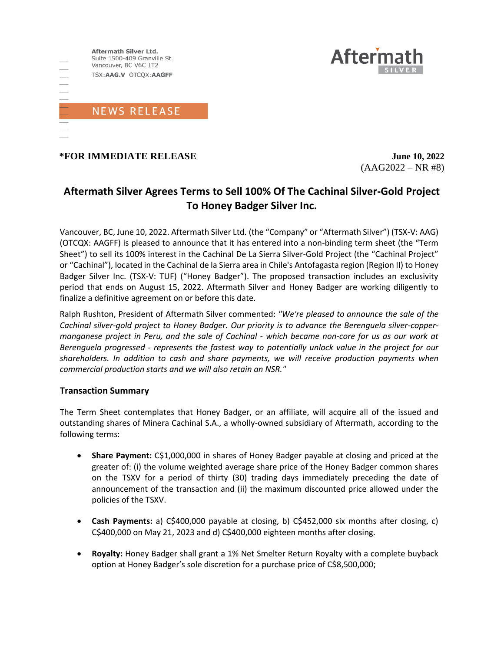

## **\*FOR IMMEDIATE RELEASE June 10, 2022**

 $(AAG2022 - NR #8)$ 

**Aftern** 

# **Aftermath Silver Agrees Terms to Sell 100% Of The Cachinal Silver-Gold Project To Honey Badger Silver Inc.**

Vancouver, BC, June 10, 2022. Aftermath Silver Ltd. (the "Company" or "Aftermath Silver") (TSX-V: AAG) (OTCQX: AAGFF) is pleased to announce that it has entered into a non-binding term sheet (the "Term Sheet") to sell its 100% interest in the Cachinal De La Sierra Silver-Gold Project (the "Cachinal Project" or "Cachinal"), located in the Cachinal de la Sierra area in Chile's Antofagasta region (Region II) to Honey Badger Silver Inc. (TSX-V: TUF) ("Honey Badger"). The proposed transaction includes an exclusivity period that ends on August 15, 2022. Aftermath Silver and Honey Badger are working diligently to finalize a definitive agreement on or before this date.

Ralph Rushton, President of Aftermath Silver commented: *"We're pleased to announce the sale of the Cachinal silver-gold project to Honey Badger. Our priority is to advance the Berenguela silver-coppermanganese project in Peru, and the sale of Cachinal - which became non-core for us as our work at Berenguela progressed - represents the fastest way to potentially unlock value in the project for our shareholders. In addition to cash and share payments, we will receive production payments when commercial production starts and we will also retain an NSR."*

### **Transaction Summary**

The Term Sheet contemplates that Honey Badger, or an affiliate, will acquire all of the issued and outstanding shares of Minera Cachinal S.A., a wholly-owned subsidiary of Aftermath, according to the following terms:

- **Share Payment:** C\$1,000,000 in shares of Honey Badger payable at closing and priced at the greater of: (i) the volume weighted average share price of the Honey Badger common shares on the TSXV for a period of thirty (30) trading days immediately preceding the date of announcement of the transaction and (ii) the maximum discounted price allowed under the policies of the TSXV.
- **Cash Payments:** a) C\$400,000 payable at closing, b) C\$452,000 six months after closing, c) C\$400,000 on May 21, 2023 and d) C\$400,000 eighteen months after closing.
- **Royalty:** Honey Badger shall grant a 1% Net Smelter Return Royalty with a complete buyback option at Honey Badger's sole discretion for a purchase price of C\$8,500,000;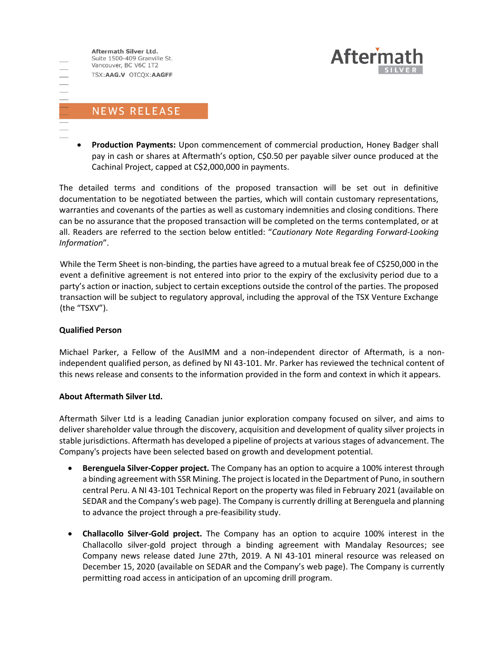Aftermath Silver Ltd. Suite 1500-409 Granville St. Vancouver, BC V6C 1T2 TSX:AAG.V OTCQX:AAGFF

**Aftern** 

# **NEWS RELEASE**

• **Production Payments:** Upon commencement of commercial production, Honey Badger shall pay in cash or shares at Aftermath's option, C\$0.50 per payable silver ounce produced at the Cachinal Project, capped at C\$2,000,000 in payments.

The detailed terms and conditions of the proposed transaction will be set out in definitive documentation to be negotiated between the parties, which will contain customary representations, warranties and covenants of the parties as well as customary indemnities and closing conditions. There can be no assurance that the proposed transaction will be completed on the terms contemplated, or at all. Readers are referred to the section below entitled: "*Cautionary Note Regarding Forward-Looking Information*".

While the Term Sheet is non-binding, the parties have agreed to a mutual break fee of C\$250,000 in the event a definitive agreement is not entered into prior to the expiry of the exclusivity period due to a party's action or inaction, subject to certain exceptions outside the control of the parties. The proposed transaction will be subject to regulatory approval, including the approval of the TSX Venture Exchange (the "TSXV").

### **Qualified Person**

Michael Parker, a Fellow of the AusIMM and a non-independent director of Aftermath, is a nonindependent qualified person, as defined by NI 43-101. Mr. Parker has reviewed the technical content of this news release and consents to the information provided in the form and context in which it appears.

### **About Aftermath Silver Ltd.**

Aftermath Silver Ltd is a leading Canadian junior exploration company focused on silver, and aims to deliver shareholder value through the discovery, acquisition and development of quality silver projects in stable jurisdictions. Aftermath has developed a pipeline of projects at various stages of advancement. The Company's projects have been selected based on growth and development potential.

- **Berenguela Silver-Copper project.** The Company has an option to acquire a 100% interest through a binding agreement with SSR Mining. The project is located in the Department of Puno, in southern central Peru. A NI 43-101 Technical Report on the property was filed in February 2021 (available on SEDAR and the Company's web page). The Company is currently drilling at Berenguela and planning to advance the project through a pre-feasibility study.
- **Challacollo Silver-Gold project.** The Company has an option to acquire 100% interest in the Challacollo silver-gold project through a binding agreement with Mandalay Resources; see Company news release dated June 27th, 2019. A NI 43-101 mineral resource was released on December 15, 2020 (available on SEDAR and the Company's web page). The Company is currently permitting road access in anticipation of an upcoming drill program.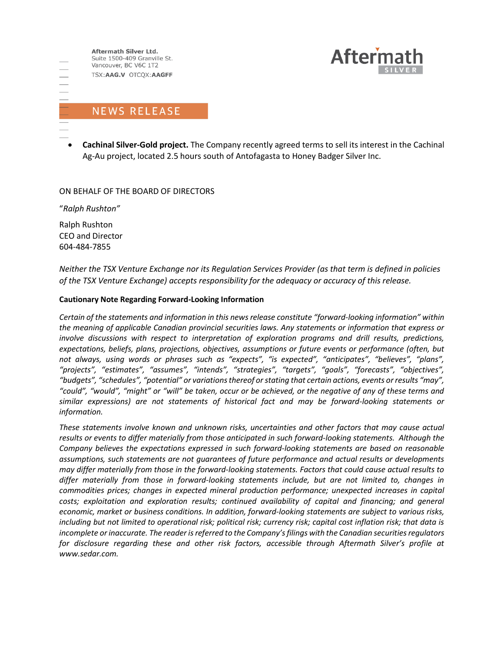

• **Cachinal Silver-Gold project.** The Company recently agreed terms to sell its interest in the Cachinal Ag-Au project, located 2.5 hours south of Antofagasta to Honey Badger Silver Inc.

**Aftern** 

ON BEHALF OF THE BOARD OF DIRECTORS

"*Ralph Rushton"*

Ralph Rushton CEO and Director 604-484-7855

*Neither the TSX Venture Exchange nor its Regulation Services Provider (as that term is defined in policies of the TSX Venture Exchange) accepts responsibility for the adequacy or accuracy of this release.*

#### **Cautionary Note Regarding Forward-Looking Information**

*Certain of the statements and information in this news release constitute "forward-looking information" within the meaning of applicable Canadian provincial securities laws. Any statements or information that express or involve discussions with respect to interpretation of exploration programs and drill results, predictions, expectations, beliefs, plans, projections, objectives, assumptions or future events or performance (often, but not always, using words or phrases such as "expects", "is expected", "anticipates", "believes", "plans", "projects", "estimates", "assumes", "intends", "strategies", "targets", "goals", "forecasts", "objectives", "budgets", "schedules", "potential" or variations thereof or stating that certain actions, events or results "may", "could", "would", "might" or "will" be taken, occur or be achieved, or the negative of any of these terms and similar expressions) are not statements of historical fact and may be forward-looking statements or information.*

*These statements involve known and unknown risks, uncertainties and other factors that may cause actual results or events to differ materially from those anticipated in such forward‐looking statements. Although the Company believes the expectations expressed in such forward‐looking statements are based on reasonable assumptions, such statements are not guarantees of future performance and actual results or developments may differ materially from those in the forward‐looking statements. Factors that could cause actual results to differ materially from those in forward‐looking statements include, but are not limited to, changes in commodities prices; changes in expected mineral production performance; unexpected increases in capital costs; exploitation and exploration results; continued availability of capital and financing; and general economic, market or business conditions. In addition, forward‐looking statements are subject to various risks, including but not limited to operational risk; political risk; currency risk; capital cost inflation risk; that data is incomplete or inaccurate. The reader is referred to the Company's filings with the Canadian securities regulators for disclosure regarding these and other risk factors, accessible through Aftermath Silver's profile at www.sedar.com.*